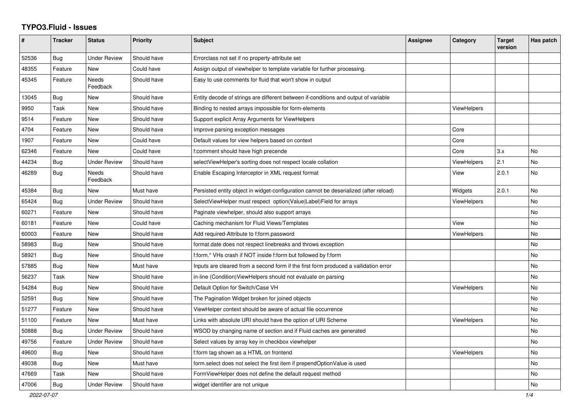## **TYPO3.Fluid - Issues**

| #     | <b>Tracker</b> | <b>Status</b>            | <b>Priority</b> | <b>Subject</b>                                                                        | Assignee | Category           | <b>Target</b><br>version | Has patch |
|-------|----------------|--------------------------|-----------------|---------------------------------------------------------------------------------------|----------|--------------------|--------------------------|-----------|
| 52536 | Bug            | <b>Under Review</b>      | Should have     | Errorclass not set if no property-attribute set                                       |          |                    |                          |           |
| 48355 | Feature        | <b>New</b>               | Could have      | Assign output of viewhelper to template variable for further processing.              |          |                    |                          |           |
| 45345 | Feature        | Needs<br>Feedback        | Should have     | Easy to use comments for fluid that won't show in output                              |          |                    |                          |           |
| 13045 | Bug            | <b>New</b>               | Should have     | Entity decode of strings are different between if-conditions and output of variable   |          |                    |                          |           |
| 9950  | Task           | New                      | Should have     | Binding to nested arrays impossible for form-elements                                 |          | <b>ViewHelpers</b> |                          |           |
| 9514  | Feature        | New                      | Should have     | Support explicit Array Arguments for ViewHelpers                                      |          |                    |                          |           |
| 4704  | Feature        | New                      | Should have     | Improve parsing exception messages                                                    |          | Core               |                          |           |
| 1907  | Feature        | New                      | Could have      | Default values for view helpers based on context                                      |          | Core               |                          |           |
| 62346 | Feature        | New                      | Could have      | f:comment should have high precende                                                   |          | Core               | 3.x                      | No        |
| 44234 | Bug            | <b>Under Review</b>      | Should have     | selectViewHelper's sorting does not respect locale collation                          |          | <b>ViewHelpers</b> | 2.1                      | <b>No</b> |
| 46289 | <b>Bug</b>     | <b>Needs</b><br>Feedback | Should have     | Enable Escaping Interceptor in XML request format                                     |          | View               | 2.0.1                    | <b>No</b> |
| 45384 | Bug            | <b>New</b>               | Must have       | Persisted entity object in widget-configuration cannot be deserialized (after reload) |          | Widgets            | 2.0.1                    | No        |
| 65424 | <b>Bug</b>     | <b>Under Review</b>      | Should have     | SelectViewHelper must respect option(Value Label)Field for arrays                     |          | <b>ViewHelpers</b> |                          | <b>No</b> |
| 60271 | Feature        | New                      | Should have     | Paginate viewhelper, should also support arrays                                       |          |                    |                          | <b>No</b> |
| 60181 | Feature        | New                      | Could have      | Caching mechanism for Fluid Views/Templates                                           |          | View               |                          | No        |
| 60003 | Feature        | New                      | Should have     | Add required-Attribute to f:form.password                                             |          | <b>ViewHelpers</b> |                          | <b>No</b> |
| 58983 | <b>Bug</b>     | <b>New</b>               | Should have     | format date does not respect linebreaks and throws exception                          |          |                    |                          | <b>No</b> |
| 58921 | <b>Bug</b>     | New                      | Should have     | f:form.* VHs crash if NOT inside f:form but followed by f:form                        |          |                    |                          | No        |
| 57885 | <b>Bug</b>     | <b>New</b>               | Must have       | Inputs are cleared from a second form if the first form produced a vallidation error  |          |                    |                          | <b>No</b> |
| 56237 | Task           | New                      | Should have     | in-line (Condition) View Helpers should not evaluate on parsing                       |          |                    |                          | No        |
| 54284 | Bug            | New                      | Should have     | Default Option for Switch/Case VH                                                     |          | ViewHelpers        |                          | No        |
| 52591 | Bug            | New                      | Should have     | The Pagination Widget broken for joined objects                                       |          |                    |                          | <b>No</b> |
| 51277 | Feature        | <b>New</b>               | Should have     | ViewHelper context should be aware of actual file occurrence                          |          |                    |                          | <b>No</b> |
| 51100 | Feature        | New                      | Must have       | Links with absolute URI should have the option of URI Scheme                          |          | ViewHelpers        |                          | No        |
| 50888 | Bug            | Under Review             | Should have     | WSOD by changing name of section and if Fluid caches are generated                    |          |                    |                          | No        |
| 49756 | Feature        | <b>Under Review</b>      | Should have     | Select values by array key in checkbox viewhelper                                     |          |                    |                          | No        |
| 49600 | Bug            | New                      | Should have     | f:form tag shown as a HTML on frontend                                                |          | ViewHelpers        |                          | No        |
| 49038 | Bug            | New                      | Must have       | form.select does not select the first item if prependOptionValue is used              |          |                    |                          | No.       |
| 47669 | Task           | New                      | Should have     | FormViewHelper does not define the default request method                             |          |                    |                          | <b>No</b> |
| 47006 | Bug            | <b>Under Review</b>      | Should have     | widget identifier are not unique                                                      |          |                    |                          | No        |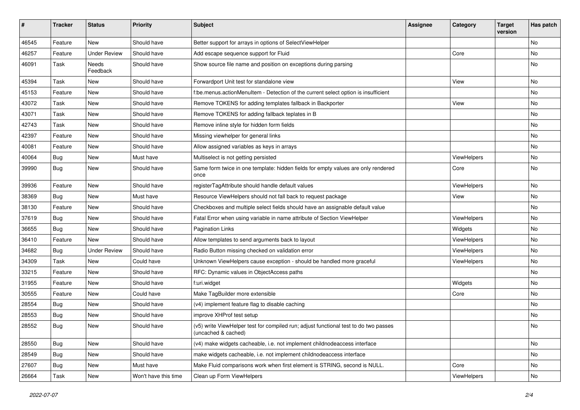| #     | <b>Tracker</b> | <b>Status</b>       | <b>Priority</b>      | Subject                                                                                                     | <b>Assignee</b> | Category    | <b>Target</b><br>version | Has patch |
|-------|----------------|---------------------|----------------------|-------------------------------------------------------------------------------------------------------------|-----------------|-------------|--------------------------|-----------|
| 46545 | Feature        | New                 | Should have          | Better support for arrays in options of SelectViewHelper                                                    |                 |             |                          | <b>No</b> |
| 46257 | Feature        | <b>Under Review</b> | Should have          | Add escape sequence support for Fluid                                                                       |                 | Core        |                          | No        |
| 46091 | Task           | Needs<br>Feedback   | Should have          | Show source file name and position on exceptions during parsing                                             |                 |             |                          | No        |
| 45394 | Task           | New                 | Should have          | Forwardport Unit test for standalone view                                                                   |                 | View        |                          | <b>No</b> |
| 45153 | Feature        | New                 | Should have          | f:be.menus.actionMenuItem - Detection of the current select option is insufficient                          |                 |             |                          | No        |
| 43072 | Task           | New                 | Should have          | Remove TOKENS for adding templates fallback in Backporter                                                   |                 | View        |                          | No        |
| 43071 | Task           | New                 | Should have          | Remove TOKENS for adding fallback teplates in B                                                             |                 |             |                          | No        |
| 42743 | Task           | New                 | Should have          | Remove inline style for hidden form fields                                                                  |                 |             |                          | No        |
| 42397 | Feature        | New                 | Should have          | Missing viewhelper for general links                                                                        |                 |             |                          | No        |
| 40081 | Feature        | <b>New</b>          | Should have          | Allow assigned variables as keys in arrays                                                                  |                 |             |                          | <b>No</b> |
| 40064 | Bug            | New                 | Must have            | Multiselect is not getting persisted                                                                        |                 | ViewHelpers |                          | No        |
| 39990 | Bug            | New                 | Should have          | Same form twice in one template: hidden fields for empty values are only rendered<br>once                   |                 | Core        |                          | No        |
| 39936 | Feature        | New                 | Should have          | registerTagAttribute should handle default values                                                           |                 | ViewHelpers |                          | No        |
| 38369 | Bug            | New                 | Must have            | Resource ViewHelpers should not fall back to request package                                                |                 | View        |                          | No        |
| 38130 | Feature        | New                 | Should have          | Checkboxes and multiple select fields should have an assignable default value                               |                 |             |                          | No        |
| 37619 | Bug            | New                 | Should have          | Fatal Error when using variable in name attribute of Section ViewHelper                                     |                 | ViewHelpers |                          | No        |
| 36655 | <b>Bug</b>     | New                 | Should have          | <b>Pagination Links</b>                                                                                     |                 | Widgets     |                          | <b>No</b> |
| 36410 | Feature        | New                 | Should have          | Allow templates to send arguments back to layout                                                            |                 | ViewHelpers |                          | No        |
| 34682 | Bug            | <b>Under Review</b> | Should have          | Radio Button missing checked on validation error                                                            |                 | ViewHelpers |                          | No        |
| 34309 | Task           | New                 | Could have           | Unknown ViewHelpers cause exception - should be handled more graceful                                       |                 | ViewHelpers |                          | No        |
| 33215 | Feature        | New                 | Should have          | RFC: Dynamic values in ObjectAccess paths                                                                   |                 |             |                          | No        |
| 31955 | Feature        | New                 | Should have          | f:uri.widget                                                                                                |                 | Widgets     |                          | <b>No</b> |
| 30555 | Feature        | New                 | Could have           | Make TagBuilder more extensible                                                                             |                 | Core        |                          | No        |
| 28554 | Bug            | New                 | Should have          | (v4) implement feature flag to disable caching                                                              |                 |             |                          | No        |
| 28553 | Bug            | New                 | Should have          | improve XHProf test setup                                                                                   |                 |             |                          | No        |
| 28552 | Bug            | New                 | Should have          | (v5) write ViewHelper test for compiled run; adjust functional test to do two passes<br>(uncached & cached) |                 |             |                          | No        |
| 28550 | <b>Bug</b>     | New                 | Should have          | (v4) make widgets cacheable, i.e. not implement childnodeaccess interface                                   |                 |             |                          | No        |
| 28549 | Bug            | New                 | Should have          | make widgets cacheable, i.e. not implement childnodeaccess interface                                        |                 |             |                          | No        |
| 27607 | Bug            | New                 | Must have            | Make Fluid comparisons work when first element is STRING, second is NULL.                                   |                 | Core        |                          | No        |
| 26664 | Task           | New                 | Won't have this time | Clean up Form ViewHelpers                                                                                   |                 | ViewHelpers |                          | No        |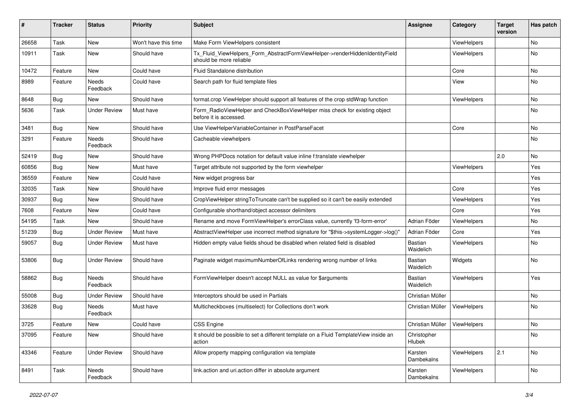| #     | <b>Tracker</b> | <b>Status</b>       | <b>Priority</b>      | Subject                                                                                                | <b>Assignee</b>             | Category    | <b>Target</b><br>version | Has patch |
|-------|----------------|---------------------|----------------------|--------------------------------------------------------------------------------------------------------|-----------------------------|-------------|--------------------------|-----------|
| 26658 | Task           | New                 | Won't have this time | Make Form ViewHelpers consistent                                                                       |                             | ViewHelpers |                          | <b>No</b> |
| 10911 | Task           | New                 | Should have          | Tx_Fluid_ViewHelpers_Form_AbstractFormViewHelper->renderHiddenIdentityField<br>should be more reliable |                             | ViewHelpers |                          | No        |
| 10472 | Feature        | New                 | Could have           | Fluid Standalone distribution                                                                          |                             | Core        |                          | No        |
| 8989  | Feature        | Needs<br>Feedback   | Could have           | Search path for fluid template files                                                                   |                             | View        |                          | No        |
| 8648  | Bug            | New                 | Should have          | format.crop ViewHelper should support all features of the crop stdWrap function                        |                             | ViewHelpers |                          | No        |
| 5636  | Task           | <b>Under Review</b> | Must have            | Form_RadioViewHelper and CheckBoxViewHelper miss check for existing object<br>before it is accessed.   |                             |             |                          | No        |
| 3481  | Bug            | New                 | Should have          | Use ViewHelperVariableContainer in PostParseFacet                                                      |                             | Core        |                          | No        |
| 3291  | Feature        | Needs<br>Feedback   | Should have          | Cacheable viewhelpers                                                                                  |                             |             |                          | No        |
| 52419 | Bug            | New                 | Should have          | Wrong PHPDocs notation for default value inline f:translate viewhelper                                 |                             |             | 2.0                      | No        |
| 60856 | Bug            | New                 | Must have            | Target attribute not supported by the form viewhelper                                                  |                             | ViewHelpers |                          | Yes       |
| 36559 | Feature        | New                 | Could have           | New widget progress bar                                                                                |                             |             |                          | Yes       |
| 32035 | Task           | New                 | Should have          | Improve fluid error messages                                                                           |                             | Core        |                          | Yes       |
| 30937 | Bug            | New                 | Should have          | CropViewHelper stringToTruncate can't be supplied so it can't be easily extended                       |                             | ViewHelpers |                          | Yes       |
| 7608  | Feature        | New                 | Could have           | Configurable shorthand/object accessor delimiters                                                      |                             | Core        |                          | Yes       |
| 54195 | Task           | New                 | Should have          | Rename and move FormViewHelper's errorClass value, currently 'f3-form-error'                           | Adrian Föder                | ViewHelpers |                          | No        |
| 51239 | Bug            | <b>Under Review</b> | Must have            | AbstractViewHelper use incorrect method signature for "\$this->systemLogger->log()"                    | Adrian Föder                | Core        |                          | Yes       |
| 59057 | Bug            | Under Review        | Must have            | Hidden empty value fields shoud be disabled when related field is disabled                             | Bastian<br>Waidelich        | ViewHelpers |                          | No        |
| 53806 | Bug            | <b>Under Review</b> | Should have          | Paginate widget maximumNumberOfLinks rendering wrong number of links                                   | <b>Bastian</b><br>Waidelich | Widgets     |                          | No        |
| 58862 | Bug            | Needs<br>Feedback   | Should have          | FormViewHelper doesn't accept NULL as value for \$arguments                                            | <b>Bastian</b><br>Waidelich | ViewHelpers |                          | Yes       |
| 55008 | Bug            | <b>Under Review</b> | Should have          | Interceptors should be used in Partials                                                                | Christian Müller            |             |                          | No        |
| 33628 | Bug            | Needs<br>Feedback   | Must have            | Multicheckboxes (multiselect) for Collections don't work                                               | Christian Müller            | ViewHelpers |                          | No        |
| 3725  | Feature        | New                 | Could have           | <b>CSS Engine</b>                                                                                      | Christian Müller            | ViewHelpers |                          | No        |
| 37095 | Feature        | New                 | Should have          | It should be possible to set a different template on a Fluid TemplateView inside an<br>action          | Christopher<br>Hlubek       |             |                          | No        |
| 43346 | Feature        | <b>Under Review</b> | Should have          | Allow property mapping configuration via template                                                      | Karsten<br>Dambekalns       | ViewHelpers | 2.1                      | No        |
| 8491  | Task           | Needs<br>Feedback   | Should have          | link.action and uri.action differ in absolute argument                                                 | Karsten<br>Dambekalns       | ViewHelpers |                          | No        |